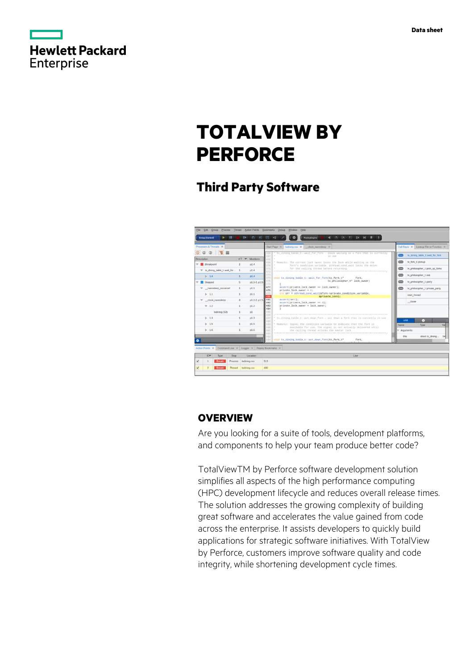

|            | <b>Hewlett Packard</b> |
|------------|------------------------|
|            |                        |
| Enterprise |                        |

# **TOTALVIEW BY PERFORCE**

# **Third Party Software**



# **OVERVIEW**

Are you looking for a suite of tools, development platforms, and components to help your team produce better code?

TotalViewTM by Perforce software development solution simplifies all aspects of the high performance computing (HPC) development lifecycle and reduces overall release times. The solution addresses the growing complexity of building great software and accelerates the value gained from code across the enterprise. It assists developers to quickly build applications for strategic software initiatives. With TotalView by Perforce, customers improve software quality and code integrity, while shortening development cycle times.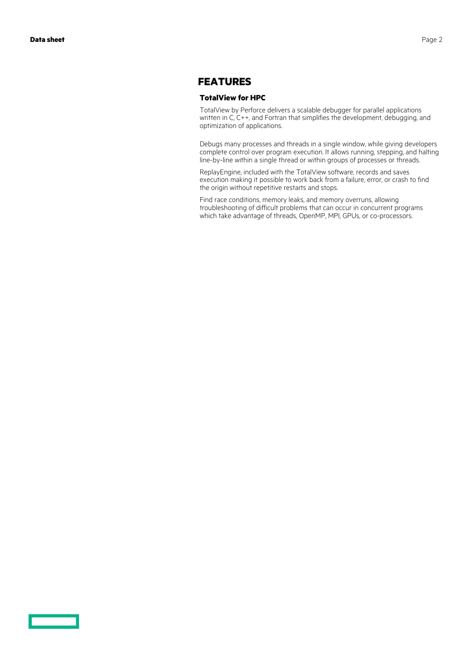### **FEATURES**

#### **TotalView for HPC**

TotalView by Perforce delivers a scalable debugger for parallel applications written in C, C++, and Fortran that simplifies the development, debugging, and optimization of applications.

Debugs many processes and threads in a single window, while giving developers complete control over program execution. It allows running, stepping, and halting line-by-line within a single thread or within groups of processes or threads.

ReplayEngine, included with the TotalView software, records and saves execution making it possible to work back from a failure, error, or crash to find the origin without repetitive restarts and stops.

Find race conditions, memory leaks, and memory overruns, allowing troubleshooting of difficult problems that can occur in concurrent programs which take advantage of threads, OpenMP, MPI, GPUs, or co-processors.